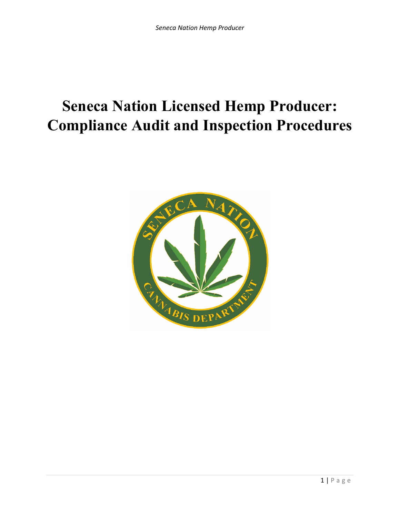# **Seneca Nation Licensed Hemp Producer: Compliance Audit and Inspection Procedures**

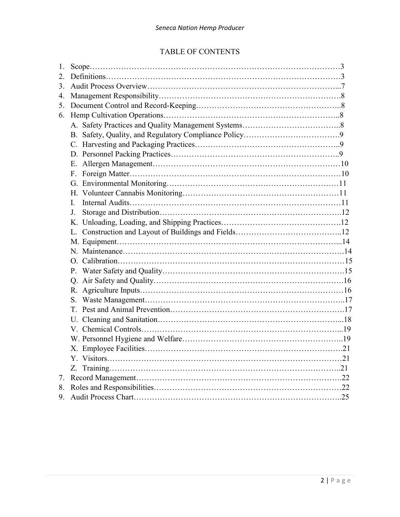# TABLE OF CONTENTS

| 1. |    |  |
|----|----|--|
| 2. |    |  |
| 3. |    |  |
| 4. |    |  |
| 5. |    |  |
| 6. |    |  |
|    |    |  |
|    |    |  |
|    |    |  |
|    |    |  |
|    |    |  |
|    | F. |  |
|    |    |  |
|    |    |  |
|    | L  |  |
|    | J. |  |
|    |    |  |
|    |    |  |
|    |    |  |
|    |    |  |
|    |    |  |
|    |    |  |
|    |    |  |
|    |    |  |
|    |    |  |
|    | T. |  |
|    |    |  |
|    |    |  |
|    |    |  |
|    |    |  |
|    |    |  |
|    |    |  |
| 7. |    |  |
| 8. |    |  |
| 9. |    |  |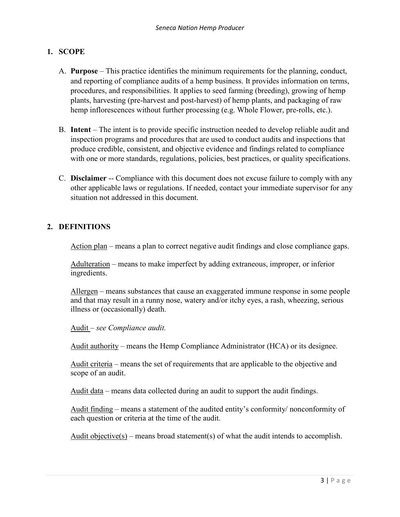# **1. SCOPE**

- A. **Purpose** This practice identifies the minimum requirements for the planning, conduct, and reporting of compliance audits of a hemp business. It provides information on terms, procedures, and responsibilities. It applies to seed farming (breeding), growing of hemp plants, harvesting (pre-harvest and post-harvest) of hemp plants, and packaging of raw hemp inflorescences without further processing (e.g. Whole Flower, pre-rolls, etc.).
- B. **Intent** The intent is to provide specific instruction needed to develop reliable audit and inspection programs and procedures that are used to conduct audits and inspections that produce credible, consistent, and objective evidence and findings related to compliance with one or more standards, regulations, policies, best practices, or quality specifications.
- C. **Disclaimer** -- Compliance with this document does not excuse failure to comply with any other applicable laws or regulations. If needed, contact your immediate supervisor for any situation not addressed in this document.

## **2. DEFINITIONS**

Action plan – means a plan to correct negative audit findings and close compliance gaps.

Adulteration – means to make imperfect by adding extraneous, improper, or inferior ingredients.

Allergen – means substances that cause an exaggerated immune response in some people and that may result in a runny nose, watery and/or itchy eyes, a rash, wheezing, serious illness or (occasionally) death.

Audit – *see Compliance audit.*

Audit authority – means the Hemp Compliance Administrator (HCA) or its designee.

Audit criteria – means the set of requirements that are applicable to the objective and scope of an audit.

Audit data – means data collected during an audit to support the audit findings.

Audit finding – means a statement of the audited entity's conformity/ nonconformity of each question or criteria at the time of the audit.

Audit objective(s) – means broad statement(s) of what the audit intends to accomplish.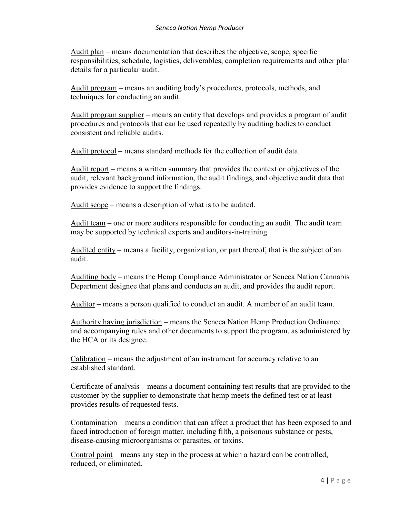Audit plan – means documentation that describes the objective, scope, specific responsibilities, schedule, logistics, deliverables, completion requirements and other plan details for a particular audit.

Audit program – means an auditing body's procedures, protocols, methods, and techniques for conducting an audit.

Audit program supplier – means an entity that develops and provides a program of audit procedures and protocols that can be used repeatedly by auditing bodies to conduct consistent and reliable audits.

Audit protocol – means standard methods for the collection of audit data.

Audit report – means a written summary that provides the context or objectives of the audit, relevant background information, the audit findings, and objective audit data that provides evidence to support the findings.

Audit scope – means a description of what is to be audited.

Audit team – one or more auditors responsible for conducting an audit. The audit team may be supported by technical experts and auditors-in-training.

Audited entity – means a facility, organization, or part thereof, that is the subject of an audit.

Auditing body – means the Hemp Compliance Administrator or Seneca Nation Cannabis Department designee that plans and conducts an audit, and provides the audit report.

Auditor – means a person qualified to conduct an audit. A member of an audit team.

Authority having jurisdiction – means the Seneca Nation Hemp Production Ordinance and accompanying rules and other documents to support the program, as administered by the HCA or its designee.

 $Calibration$  – means the adjustment of an instrument for accuracy relative to an established standard.

Certificate of analysis – means a document containing test results that are provided to the customer by the supplier to demonstrate that hemp meets the defined test or at least provides results of requested tests.

Contamination – means a condition that can affect a product that has been exposed to and faced introduction of foreign matter, including filth, a poisonous substance or pests, disease-causing microorganisms or parasites, or toxins.

Control point – means any step in the process at which a hazard can be controlled, reduced, or eliminated.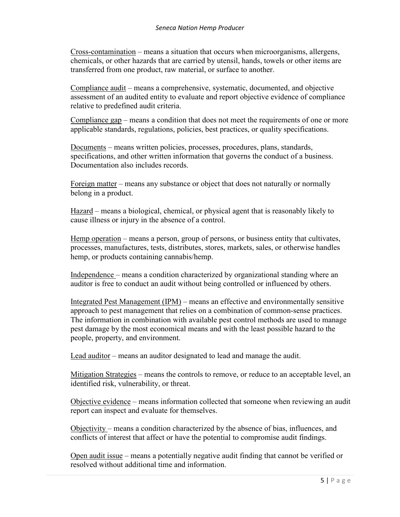Cross-contamination – means a situation that occurs when microorganisms, allergens, chemicals, or other hazards that are carried by utensil, hands, towels or other items are transferred from one product, raw material, or surface to another.

Compliance audit – means a comprehensive, systematic, documented, and objective assessment of an audited entity to evaluate and report objective evidence of compliance relative to predefined audit criteria.

Compliance gap – means a condition that does not meet the requirements of one or more applicable standards, regulations, policies, best practices, or quality specifications.

Documents – means written policies, processes, procedures, plans, standards, specifications, and other written information that governs the conduct of a business. Documentation also includes records.

Foreign matter – means any substance or object that does not naturally or normally belong in a product.

Hazard – means a biological, chemical, or physical agent that is reasonably likely to cause illness or injury in the absence of a control.

Hemp operation – means a person, group of persons, or business entity that cultivates, processes, manufactures, tests, distributes, stores, markets, sales, or otherwise handles hemp, or products containing cannabis/hemp.

Independence – means a condition characterized by organizational standing where an auditor is free to conduct an audit without being controlled or influenced by others.

Integrated Pest Management (IPM) – means an effective and environmentally sensitive approach to pest management that relies on a combination of common-sense practices. The information in combination with available pest control methods are used to manage pest damage by the most economical means and with the least possible hazard to the people, property, and environment.

Lead auditor – means an auditor designated to lead and manage the audit.

Mitigation Strategies – means the controls to remove, or reduce to an acceptable level, an identified risk, vulnerability, or threat.

Objective evidence – means information collected that someone when reviewing an audit report can inspect and evaluate for themselves.

Objectivity – means a condition characterized by the absence of bias, influences, and conflicts of interest that affect or have the potential to compromise audit findings.

Open audit issue – means a potentially negative audit finding that cannot be verified or resolved without additional time and information.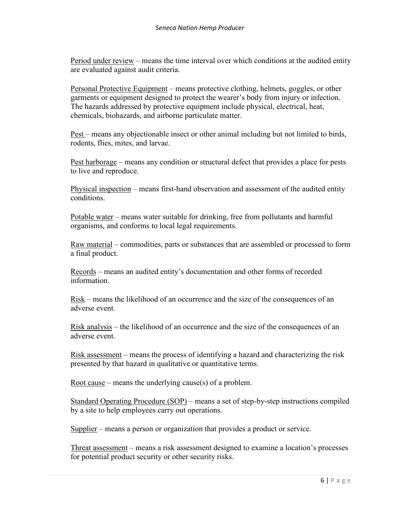Period under review – means the time interval over which conditions at the audited entity are evaluated against audit criteria.

Personal Protective Equipment – means protective clothing, helmets, goggles, or other garments or equipment designed to protect the wearer's body from injury or infection. The hazards addressed by protective equipment include physical, electrical, heat, chemicals, biohazards, and airborne particulate matter.

Pest – means any objectionable insect or other animal including but not limited to birds, rodents, flies, mites, and larvae.

Pest harborage – means any condition or structural defect that provides a place for pests to live and reproduce.

Physical inspection – means first-hand observation and assessment of the audited entity conditions.

Potable water – means water suitable for drinking, free from pollutants and harmful organisms, and conforms to local legal requirements.

Raw material – commodities, parts or substances that are assembled or processed to form a final product.

Records – means an audited entity's documentation and other forms of recorded information.

Risk – means the likelihood of an occurrence and the size of the consequences of an adverse event.

Risk analysis – the likelihood of an occurrence and the size of the consequences of an adverse event.

Risk assessment – means the process of identifying a hazard and characterizing the risk presented by that hazard in qualitative or quantitative terms.

Root cause – means the underlying cause(s) of a problem.

Standard Operating Procedure (SOP) – means a set of step-by-step instructions compiled by a site to help employees carry out operations.

Supplier – means a person or organization that provides a product or service.

Threat assessment – means a risk assessment designed to examine a location's processes for potential product security or other security risks.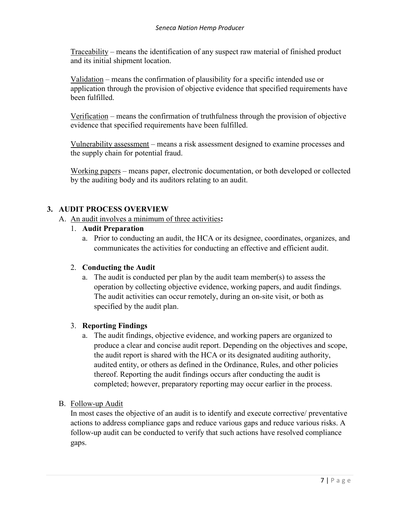Traceability – means the identification of any suspect raw material of finished product and its initial shipment location.

Validation – means the confirmation of plausibility for a specific intended use or application through the provision of objective evidence that specified requirements have been fulfilled.

Verification – means the confirmation of truthfulness through the provision of objective evidence that specified requirements have been fulfilled.

Vulnerability assessment – means a risk assessment designed to examine processes and the supply chain for potential fraud.

Working papers – means paper, electronic documentation, or both developed or collected by the auditing body and its auditors relating to an audit.

#### **3. AUDIT PROCESS OVERVIEW**

- A. An audit involves a minimum of three activities**:**
	- 1. **Audit Preparation**
		- a. Prior to conducting an audit, the HCA or its designee, coordinates, organizes, and communicates the activities for conducting an effective and efficient audit.

#### 2. **Conducting the Audit**

a. The audit is conducted per plan by the audit team member(s) to assess the operation by collecting objective evidence, working papers, and audit findings. The audit activities can occur remotely, during an on-site visit, or both as specified by the audit plan.

#### 3. **Reporting Findings**

a. The audit findings, objective evidence, and working papers are organized to produce a clear and concise audit report. Depending on the objectives and scope, the audit report is shared with the HCA or its designated auditing authority, audited entity, or others as defined in the Ordinance, Rules, and other policies thereof. Reporting the audit findings occurs after conducting the audit is completed; however, preparatory reporting may occur earlier in the process.

#### B. Follow-up Audit

In most cases the objective of an audit is to identify and execute corrective/ preventative actions to address compliance gaps and reduce various gaps and reduce various risks. A follow-up audit can be conducted to verify that such actions have resolved compliance gaps.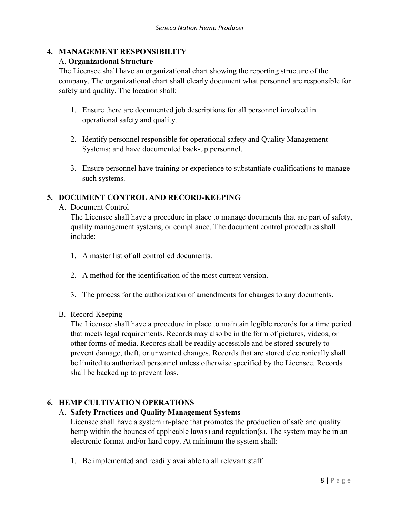# **4. MANAGEMENT RESPONSIBILITY**

## A. **Organizational Structure**

The Licensee shall have an organizational chart showing the reporting structure of the company. The organizational chart shall clearly document what personnel are responsible for safety and quality. The location shall:

- 1. Ensure there are documented job descriptions for all personnel involved in operational safety and quality.
- 2. Identify personnel responsible for operational safety and Quality Management Systems; and have documented back-up personnel.
- 3. Ensure personnel have training or experience to substantiate qualifications to manage such systems.

# **5. DOCUMENT CONTROL AND RECORD-KEEPING**

#### A. Document Control

The Licensee shall have a procedure in place to manage documents that are part of safety, quality management systems, or compliance. The document control procedures shall include:

- 1. A master list of all controlled documents.
- 2. A method for the identification of the most current version.
- 3. The process for the authorization of amendments for changes to any documents.

## B. Record-Keeping

The Licensee shall have a procedure in place to maintain legible records for a time period that meets legal requirements. Records may also be in the form of pictures, videos, or other forms of media. Records shall be readily accessible and be stored securely to prevent damage, theft, or unwanted changes. Records that are stored electronically shall be limited to authorized personnel unless otherwise specified by the Licensee. Records shall be backed up to prevent loss.

## **6. HEMP CULTIVATION OPERATIONS**

# A. **Safety Practices and Quality Management Systems**

Licensee shall have a system in-place that promotes the production of safe and quality hemp within the bounds of applicable law(s) and regulation(s). The system may be in an electronic format and/or hard copy. At minimum the system shall:

1. Be implemented and readily available to all relevant staff.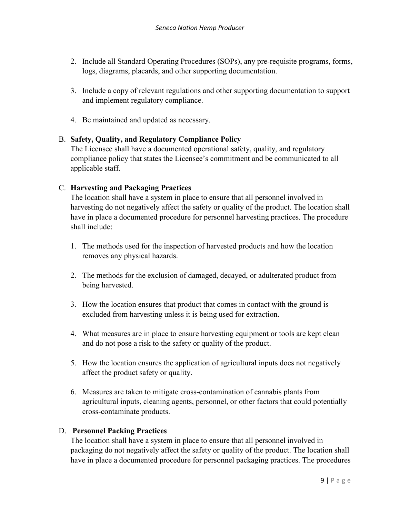- 2. Include all Standard Operating Procedures (SOPs), any pre-requisite programs, forms, logs, diagrams, placards, and other supporting documentation.
- 3. Include a copy of relevant regulations and other supporting documentation to support and implement regulatory compliance.
- 4. Be maintained and updated as necessary.

## B. **Safety, Quality, and Regulatory Compliance Policy**

The Licensee shall have a documented operational safety, quality, and regulatory compliance policy that states the Licensee's commitment and be communicated to all applicable staff.

#### C. **Harvesting and Packaging Practices**

The location shall have a system in place to ensure that all personnel involved in harvesting do not negatively affect the safety or quality of the product. The location shall have in place a documented procedure for personnel harvesting practices. The procedure shall include:

- 1. The methods used for the inspection of harvested products and how the location removes any physical hazards.
- 2. The methods for the exclusion of damaged, decayed, or adulterated product from being harvested.
- 3. How the location ensures that product that comes in contact with the ground is excluded from harvesting unless it is being used for extraction.
- 4. What measures are in place to ensure harvesting equipment or tools are kept clean and do not pose a risk to the safety or quality of the product.
- 5. How the location ensures the application of agricultural inputs does not negatively affect the product safety or quality.
- 6. Measures are taken to mitigate cross-contamination of cannabis plants from agricultural inputs, cleaning agents, personnel, or other factors that could potentially cross-contaminate products.

## D. **Personnel Packing Practices**

 The location shall have a system in place to ensure that all personnel involved in packaging do not negatively affect the safety or quality of the product. The location shall have in place a documented procedure for personnel packaging practices. The procedures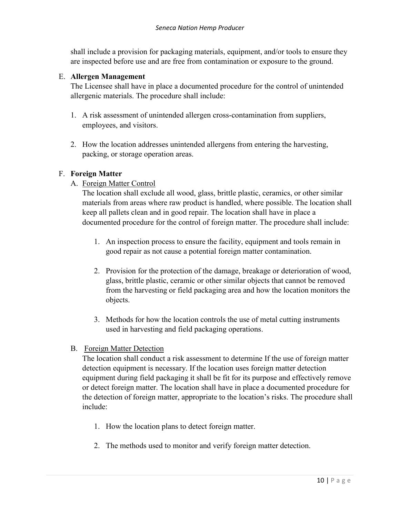shall include a provision for packaging materials, equipment, and/or tools to ensure they are inspected before use and are free from contamination or exposure to the ground.

## E. **Allergen Management**

The Licensee shall have in place a documented procedure for the control of unintended allergenic materials. The procedure shall include:

- 1. A risk assessment of unintended allergen cross-contamination from suppliers, employees, and visitors.
- 2. How the location addresses unintended allergens from entering the harvesting, packing, or storage operation areas.

#### F. **Foreign Matter**

A. Foreign Matter Control

The location shall exclude all wood, glass, brittle plastic, ceramics, or other similar materials from areas where raw product is handled, where possible. The location shall keep all pallets clean and in good repair. The location shall have in place a documented procedure for the control of foreign matter. The procedure shall include:

- 1. An inspection process to ensure the facility, equipment and tools remain in good repair as not cause a potential foreign matter contamination.
- 2. Provision for the protection of the damage, breakage or deterioration of wood, glass, brittle plastic, ceramic or other similar objects that cannot be removed from the harvesting or field packaging area and how the location monitors the objects.
- 3. Methods for how the location controls the use of metal cutting instruments used in harvesting and field packaging operations.
- B. Foreign Matter Detection

The location shall conduct a risk assessment to determine If the use of foreign matter detection equipment is necessary. If the location uses foreign matter detection equipment during field packaging it shall be fit for its purpose and effectively remove or detect foreign matter. The location shall have in place a documented procedure for the detection of foreign matter, appropriate to the location's risks. The procedure shall include:

- 1. How the location plans to detect foreign matter.
- 2. The methods used to monitor and verify foreign matter detection.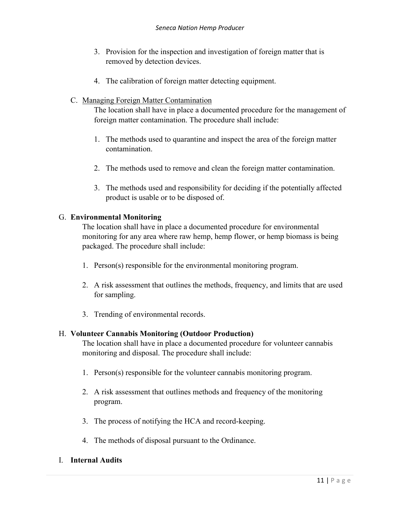- 3. Provision for the inspection and investigation of foreign matter that is removed by detection devices.
- 4. The calibration of foreign matter detecting equipment.
- C. Managing Foreign Matter Contamination

The location shall have in place a documented procedure for the management of foreign matter contamination. The procedure shall include:

- 1. The methods used to quarantine and inspect the area of the foreign matter contamination.
- 2. The methods used to remove and clean the foreign matter contamination.
- 3. The methods used and responsibility for deciding if the potentially affected product is usable or to be disposed of.

## G. **Environmental Monitoring**

The location shall have in place a documented procedure for environmental monitoring for any area where raw hemp, hemp flower, or hemp biomass is being packaged. The procedure shall include:

- 1. Person(s) responsible for the environmental monitoring program.
- 2. A risk assessment that outlines the methods, frequency, and limits that are used for sampling.
- 3. Trending of environmental records.

## H. **Volunteer Cannabis Monitoring (Outdoor Production)**

The location shall have in place a documented procedure for volunteer cannabis monitoring and disposal. The procedure shall include:

- 1. Person(s) responsible for the volunteer cannabis monitoring program.
- 2. A risk assessment that outlines methods and frequency of the monitoring program.
- 3. The process of notifying the HCA and record-keeping.
- 4. The methods of disposal pursuant to the Ordinance.
- I. **Internal Audits**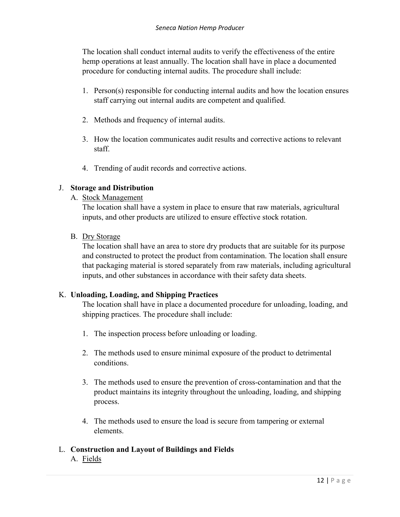The location shall conduct internal audits to verify the effectiveness of the entire hemp operations at least annually. The location shall have in place a documented procedure for conducting internal audits. The procedure shall include:

- 1. Person(s) responsible for conducting internal audits and how the location ensures staff carrying out internal audits are competent and qualified.
- 2. Methods and frequency of internal audits.
- 3. How the location communicates audit results and corrective actions to relevant staff.
- 4. Trending of audit records and corrective actions.

## J. **Storage and Distribution**

A. Stock Management

The location shall have a system in place to ensure that raw materials, agricultural inputs, and other products are utilized to ensure effective stock rotation.

B. Dry Storage

The location shall have an area to store dry products that are suitable for its purpose and constructed to protect the product from contamination. The location shall ensure that packaging material is stored separately from raw materials, including agricultural inputs, and other substances in accordance with their safety data sheets.

## K. **Unloading, Loading, and Shipping Practices**

The location shall have in place a documented procedure for unloading, loading, and shipping practices. The procedure shall include:

- 1. The inspection process before unloading or loading.
- 2. The methods used to ensure minimal exposure of the product to detrimental conditions.
- 3. The methods used to ensure the prevention of cross-contamination and that the product maintains its integrity throughout the unloading, loading, and shipping process.
- 4. The methods used to ensure the load is secure from tampering or external elements.

## L. **Construction and Layout of Buildings and Fields**

A. Fields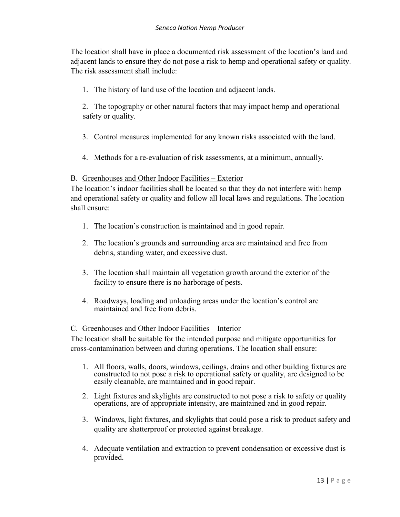The location shall have in place a documented risk assessment of the location's land and adjacent lands to ensure they do not pose a risk to hemp and operational safety or quality. The risk assessment shall include:

1. The history of land use of the location and adjacent lands.

2. The topography or other natural factors that may impact hemp and operational safety or quality.

- 3. Control measures implemented for any known risks associated with the land.
- 4. Methods for a re-evaluation of risk assessments, at a minimum, annually.

#### B. Greenhouses and Other Indoor Facilities – Exterior

The location's indoor facilities shall be located so that they do not interfere with hemp and operational safety or quality and follow all local laws and regulations. The location shall ensure:

- 1. The location's construction is maintained and in good repair.
- 2. The location's grounds and surrounding area are maintained and free from debris, standing water, and excessive dust.
- 3. The location shall maintain all vegetation growth around the exterior of the facility to ensure there is no harborage of pests.
- 4. Roadways, loading and unloading areas under the location's control are maintained and free from debris.

#### C. Greenhouses and Other Indoor Facilities – Interior

The location shall be suitable for the intended purpose and mitigate opportunities for cross-contamination between and during operations. The location shall ensure:

- 1. All floors, walls, doors, windows, ceilings, drains and other building fixtures are constructed to not pose a risk to operational safety or quality, are designed to be easily cleanable, are maintained and in good repair.
- 2. Light fixtures and skylights are constructed to not pose a risk to safety or quality operations, are of appropriate intensity, are maintained and in good repair.
- 3. Windows, light fixtures, and skylights that could pose a risk to product safety and quality are shatterproof or protected against breakage.
- 4. Adequate ventilation and extraction to prevent condensation or excessive dust is provided.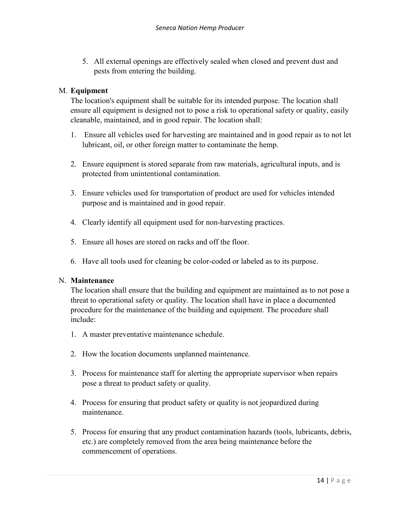5. All external openings are effectively sealed when closed and prevent dust and pests from entering the building.

## M. **Equipment**

The location's equipment shall be suitable for its intended purpose. The location shall ensure all equipment is designed not to pose a risk to operational safety or quality, easily cleanable, maintained, and in good repair. The location shall:

- 1. Ensure all vehicles used for harvesting are maintained and in good repair as to not let lubricant, oil, or other foreign matter to contaminate the hemp.
- 2. Ensure equipment is stored separate from raw materials, agricultural inputs, and is protected from unintentional contamination.
- 3. Ensure vehicles used for transportation of product are used for vehicles intended purpose and is maintained and in good repair.
- 4. Clearly identify all equipment used for non-harvesting practices.
- 5. Ensure all hoses are stored on racks and off the floor.
- 6. Have all tools used for cleaning be color-coded or labeled as to its purpose.

#### N. **Maintenance**

The location shall ensure that the building and equipment are maintained as to not pose a threat to operational safety or quality. The location shall have in place a documented procedure for the maintenance of the building and equipment. The procedure shall include:

- 1. A master preventative maintenance schedule.
- 2. How the location documents unplanned maintenance.
- 3. Process for maintenance staff for alerting the appropriate supervisor when repairs pose a threat to product safety or quality.
- 4. Process for ensuring that product safety or quality is not jeopardized during maintenance.
- 5. Process for ensuring that any product contamination hazards (tools, lubricants, debris, etc.) are completely removed from the area being maintenance before the commencement of operations.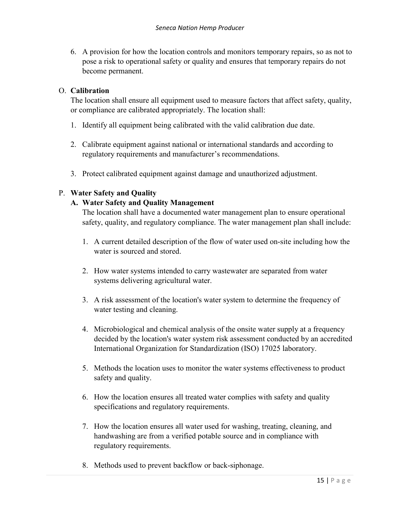6. A provision for how the location controls and monitors temporary repairs, so as not to pose a risk to operational safety or quality and ensures that temporary repairs do not become permanent.

## O. **Calibration**

The location shall ensure all equipment used to measure factors that affect safety, quality, or compliance are calibrated appropriately. The location shall:

- 1. Identify all equipment being calibrated with the valid calibration due date.
- 2. Calibrate equipment against national or international standards and according to regulatory requirements and manufacturer's recommendations.
- 3. Protect calibrated equipment against damage and unauthorized adjustment.

## P. **Water Safety and Quality**

#### **A. Water Safety and Quality Management**

The location shall have a documented water management plan to ensure operational safety, quality, and regulatory compliance. The water management plan shall include:

- 1. A current detailed description of the flow of water used on-site including how the water is sourced and stored.
- 2. How water systems intended to carry wastewater are separated from water systems delivering agricultural water.
- 3. A risk assessment of the location's water system to determine the frequency of water testing and cleaning.
- 4. Microbiological and chemical analysis of the onsite water supply at a frequency decided by the location's water system risk assessment conducted by an accredited International Organization for Standardization (ISO) 17025 laboratory.
- 5. Methods the location uses to monitor the water systems effectiveness to product safety and quality.
- 6. How the location ensures all treated water complies with safety and quality specifications and regulatory requirements.
- 7. How the location ensures all water used for washing, treating, cleaning, and handwashing are from a verified potable source and in compliance with regulatory requirements.
- 8. Methods used to prevent backflow or back-siphonage.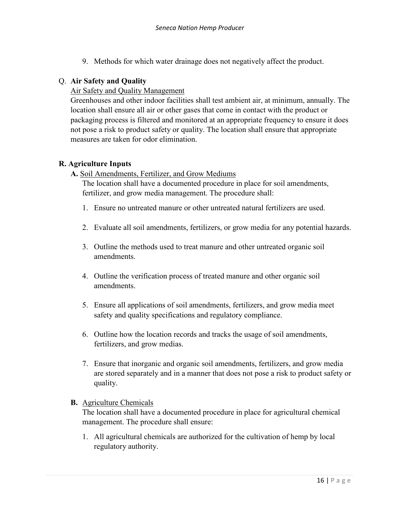9. Methods for which water drainage does not negatively affect the product.

## Q. **Air Safety and Quality**

#### Air Safety and Quality Management

Greenhouses and other indoor facilities shall test ambient air, at minimum, annually. The location shall ensure all air or other gases that come in contact with the product or packaging process is filtered and monitored at an appropriate frequency to ensure it does not pose a risk to product safety or quality. The location shall ensure that appropriate measures are taken for odor elimination.

#### **R. Agriculture Inputs**

**A.** Soil Amendments, Fertilizer, and Grow Mediums

The location shall have a documented procedure in place for soil amendments, fertilizer, and grow media management. The procedure shall:

- 1. Ensure no untreated manure or other untreated natural fertilizers are used.
- 2. Evaluate all soil amendments, fertilizers, or grow media for any potential hazards.
- 3. Outline the methods used to treat manure and other untreated organic soil amendments.
- 4. Outline the verification process of treated manure and other organic soil amendments.
- 5. Ensure all applications of soil amendments, fertilizers, and grow media meet safety and quality specifications and regulatory compliance.
- 6. Outline how the location records and tracks the usage of soil amendments, fertilizers, and grow medias.
- 7. Ensure that inorganic and organic soil amendments, fertilizers, and grow media are stored separately and in a manner that does not pose a risk to product safety or quality.

#### **B.** Agriculture Chemicals

The location shall have a documented procedure in place for agricultural chemical management. The procedure shall ensure:

1. All agricultural chemicals are authorized for the cultivation of hemp by local regulatory authority.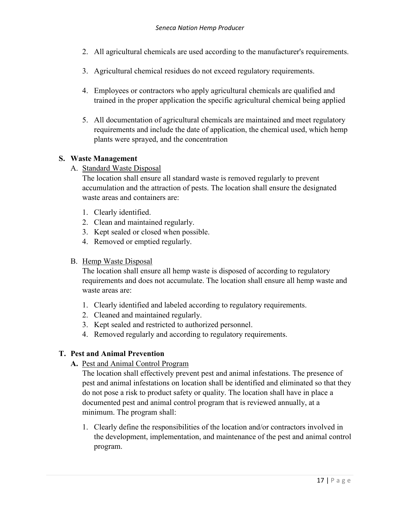- 2. All agricultural chemicals are used according to the manufacturer's requirements.
- 3. Agricultural chemical residues do not exceed regulatory requirements.
- 4. Employees or contractors who apply agricultural chemicals are qualified and trained in the proper application the specific agricultural chemical being applied
- 5. All documentation of agricultural chemicals are maintained and meet regulatory requirements and include the date of application, the chemical used, which hemp plants were sprayed, and the concentration

## **S. Waste Management**

A. Standard Waste Disposal

The location shall ensure all standard waste is removed regularly to prevent accumulation and the attraction of pests. The location shall ensure the designated waste areas and containers are:

- 1. Clearly identified.
- 2. Clean and maintained regularly.
- 3. Kept sealed or closed when possible.
- 4. Removed or emptied regularly.

## B. Hemp Waste Disposal

The location shall ensure all hemp waste is disposed of according to regulatory requirements and does not accumulate. The location shall ensure all hemp waste and waste areas are:

- 1. Clearly identified and labeled according to regulatory requirements.
- 2. Cleaned and maintained regularly.
- 3. Kept sealed and restricted to authorized personnel.
- 4. Removed regularly and according to regulatory requirements.

# **T. Pest and Animal Prevention**

**A.** Pest and Animal Control Program

The location shall effectively prevent pest and animal infestations. The presence of pest and animal infestations on location shall be identified and eliminated so that they do not pose a risk to product safety or quality. The location shall have in place a documented pest and animal control program that is reviewed annually, at a minimum. The program shall:

1. Clearly define the responsibilities of the location and/or contractors involved in the development, implementation, and maintenance of the pest and animal control program.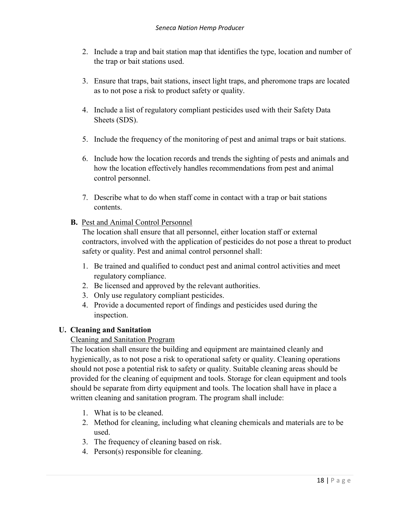- 2. Include a trap and bait station map that identifies the type, location and number of the trap or bait stations used.
- 3. Ensure that traps, bait stations, insect light traps, and pheromone traps are located as to not pose a risk to product safety or quality.
- 4. Include a list of regulatory compliant pesticides used with their Safety Data Sheets (SDS).
- 5. Include the frequency of the monitoring of pest and animal traps or bait stations.
- 6. Include how the location records and trends the sighting of pests and animals and how the location effectively handles recommendations from pest and animal control personnel.
- 7. Describe what to do when staff come in contact with a trap or bait stations contents.

# **B.** Pest and Animal Control Personnel

The location shall ensure that all personnel, either location staff or external contractors, involved with the application of pesticides do not pose a threat to product safety or quality. Pest and animal control personnel shall:

- 1. Be trained and qualified to conduct pest and animal control activities and meet regulatory compliance.
- 2. Be licensed and approved by the relevant authorities.
- 3. Only use regulatory compliant pesticides.
- 4. Provide a documented report of findings and pesticides used during the inspection.

## **U. Cleaning and Sanitation**

## Cleaning and Sanitation Program

The location shall ensure the building and equipment are maintained cleanly and hygienically, as to not pose a risk to operational safety or quality. Cleaning operations should not pose a potential risk to safety or quality. Suitable cleaning areas should be provided for the cleaning of equipment and tools. Storage for clean equipment and tools should be separate from dirty equipment and tools. The location shall have in place a written cleaning and sanitation program. The program shall include:

- 1. What is to be cleaned.
- 2. Method for cleaning, including what cleaning chemicals and materials are to be used.
- 3. The frequency of cleaning based on risk.
- 4. Person(s) responsible for cleaning.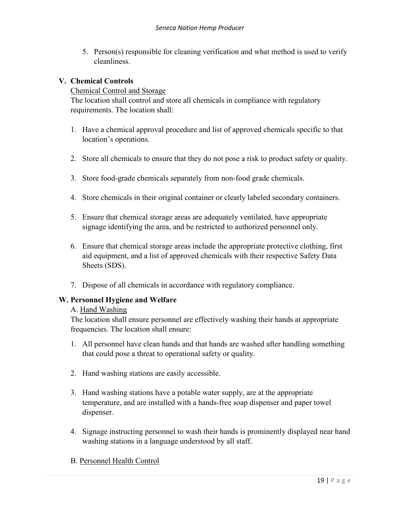5. Person(s) responsible for cleaning verification and what method is used to verify cleanliness.

## **V. Chemical Controls**

## Chemical Control and Storage

The location shall control and store all chemicals in compliance with regulatory requirements. The location shall:

- 1. Have a chemical approval procedure and list of approved chemicals specific to that location's operations.
- 2. Store all chemicals to ensure that they do not pose a risk to product safety or quality.
- 3. Store food-grade chemicals separately from non-food grade chemicals.
- 4. Store chemicals in their original container or clearly labeled secondary containers.
- 5. Ensure that chemical storage areas are adequately ventilated, have appropriate signage identifying the area, and be restricted to authorized personnel only.
- 6. Ensure that chemical storage areas include the appropriate protective clothing, first aid equipment, and a list of approved chemicals with their respective Safety Data Sheets (SDS).
- 7. Dispose of all chemicals in accordance with regulatory compliance.

## **W. Personnel Hygiene and Welfare**

#### A. Hand Washing

The location shall ensure personnel are effectively washing their hands at appropriate frequencies. The location shall ensure:

- 1. All personnel have clean hands and that hands are washed after handling something that could pose a threat to operational safety or quality.
- 2. Hand washing stations are easily accessible.
- 3. Hand washing stations have a potable water supply, are at the appropriate temperature, and are installed with a hands-free soap dispenser and paper towel dispenser.
- 4. Signage instructing personnel to wash their hands is prominently displayed near hand washing stations in a language understood by all staff.

## B. Personnel Health Control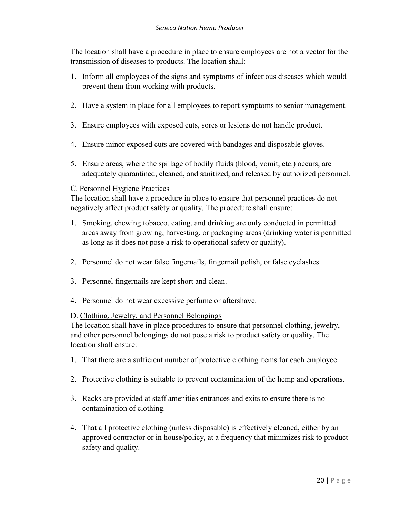The location shall have a procedure in place to ensure employees are not a vector for the transmission of diseases to products. The location shall:

- 1. Inform all employees of the signs and symptoms of infectious diseases which would prevent them from working with products.
- 2. Have a system in place for all employees to report symptoms to senior management.
- 3. Ensure employees with exposed cuts, sores or lesions do not handle product.
- 4. Ensure minor exposed cuts are covered with bandages and disposable gloves.
- 5. Ensure areas, where the spillage of bodily fluids (blood, vomit, etc.) occurs, are adequately quarantined, cleaned, and sanitized, and released by authorized personnel.

#### C. Personnel Hygiene Practices

The location shall have a procedure in place to ensure that personnel practices do not negatively affect product safety or quality. The procedure shall ensure:

- 1. Smoking, chewing tobacco, eating, and drinking are only conducted in permitted areas away from growing, harvesting, or packaging areas (drinking water is permitted as long as it does not pose a risk to operational safety or quality).
- 2. Personnel do not wear false fingernails, fingernail polish, or false eyelashes.
- 3. Personnel fingernails are kept short and clean.
- 4. Personnel do not wear excessive perfume or aftershave.

## D. Clothing, Jewelry, and Personnel Belongings

The location shall have in place procedures to ensure that personnel clothing, jewelry, and other personnel belongings do not pose a risk to product safety or quality. The location shall ensure:

- 1. That there are a sufficient number of protective clothing items for each employee.
- 2. Protective clothing is suitable to prevent contamination of the hemp and operations.
- 3. Racks are provided at staff amenities entrances and exits to ensure there is no contamination of clothing.
- 4. That all protective clothing (unless disposable) is effectively cleaned, either by an approved contractor or in house/policy, at a frequency that minimizes risk to product safety and quality.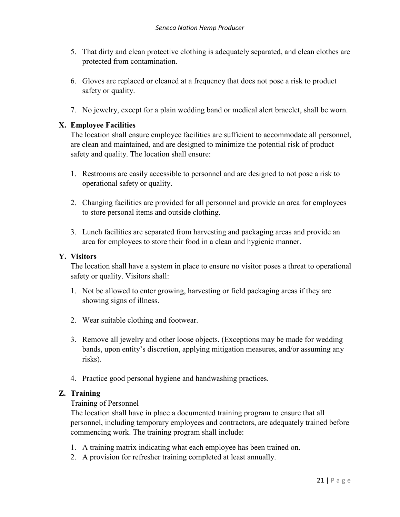- 5. That dirty and clean protective clothing is adequately separated, and clean clothes are protected from contamination.
- 6. Gloves are replaced or cleaned at a frequency that does not pose a risk to product safety or quality.
- 7. No jewelry, except for a plain wedding band or medical alert bracelet, shall be worn.

## **X. Employee Facilities**

The location shall ensure employee facilities are sufficient to accommodate all personnel, are clean and maintained, and are designed to minimize the potential risk of product safety and quality. The location shall ensure:

- 1. Restrooms are easily accessible to personnel and are designed to not pose a risk to operational safety or quality.
- 2. Changing facilities are provided for all personnel and provide an area for employees to store personal items and outside clothing.
- 3. Lunch facilities are separated from harvesting and packaging areas and provide an area for employees to store their food in a clean and hygienic manner.

## **Y. Visitors**

The location shall have a system in place to ensure no visitor poses a threat to operational safety or quality. Visitors shall:

- 1. Not be allowed to enter growing, harvesting or field packaging areas if they are showing signs of illness.
- 2. Wear suitable clothing and footwear.
- 3. Remove all jewelry and other loose objects. (Exceptions may be made for wedding bands, upon entity's discretion, applying mitigation measures, and/or assuming any risks).
- 4. Practice good personal hygiene and handwashing practices.

## **Z. Training**

## Training of Personnel

The location shall have in place a documented training program to ensure that all personnel, including temporary employees and contractors, are adequately trained before commencing work. The training program shall include:

- 1. A training matrix indicating what each employee has been trained on.
- 2. A provision for refresher training completed at least annually.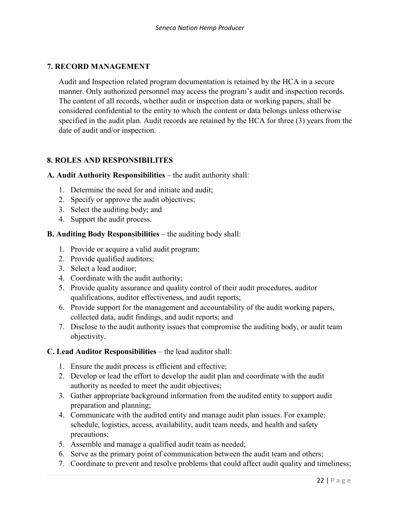# **7. RECORD MANAGEMENT**

Audit and Inspection related program documentation is retained by the HCA in a secure manner. Only authorized personnel may access the program's audit and inspection records. The content of all records, whether audit or inspection data or working papers, shall be considered confidential to the entity to which the content or data belongs unless otherwise specified in the audit plan. Audit records are retained by the HCA for three (3) years from the date of audit and/or inspection.

# **8. ROLES AND RESPONSIBILITES**

#### **A. Audit Authority Responsibilities** – the audit authority shall:

- 1. Determine the need for and initiate and audit;
- 2. Specify or approve the audit objectives;
- 3. Select the auditing body; and
- 4. Support the audit process.

#### **B. Auditing Body Responsibilities** – the auditing body shall:

- 1. Provide or acquire a valid audit program;
- 2. Provide qualified auditors;
- 3. Select a lead auditor;
- 4. Coordinate with the audit authority;
- 5. Provide quality assurance and quality control of their audit procedures, auditor qualifications, auditor effectiveness, and audit reports;
- 6. Provide support for the management and accountability of the audit working papers, collected data, audit findings, and audit reports; and
- 7. Disclose to the audit authority issues that compromise the auditing body, or audit team objectivity.

#### **C. Lead Auditor Responsibilities** – the lead auditor shall:

- 1. Ensure the audit process is efficient and effective;
- 2. Develop or lead the effort to develop the audit plan and coordinate with the audit authority as needed to meet the audit objectives;
- 3. Gather appropriate background information from the audited entity to support audit preparation and planning;
- 4. Communicate with the audited entity and manage audit plan issues. For example: schedule, logistics, access, availability, audit team needs, and health and safety precautions;
- 5. Assemble and manage a qualified audit team as needed;
- 6. Serve as the primary point of communication between the audit team and others;
- 7. Coordinate to prevent and resolve problems that could affect audit quality and timeliness;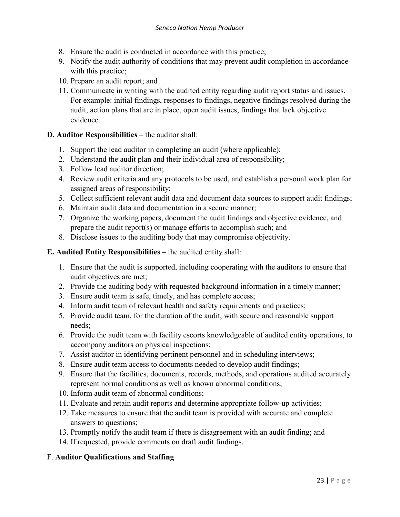- 8. Ensure the audit is conducted in accordance with this practice;
- 9. Notify the audit authority of conditions that may prevent audit completion in accordance with this practice;
- 10. Prepare an audit report; and
- 11. Communicate in writing with the audited entity regarding audit report status and issues. For example: initial findings, responses to findings, negative findings resolved during the audit, action plans that are in place, open audit issues, findings that lack objective evidence.
- **D. Auditor Responsibilities** the auditor shall:
	- 1. Support the lead auditor in completing an audit (where applicable);
	- 2. Understand the audit plan and their individual area of responsibility;
	- 3. Follow lead auditor direction;
	- 4. Review audit criteria and any protocols to be used, and establish a personal work plan for assigned areas of responsibility;
	- 5. Collect sufficient relevant audit data and document data sources to support audit findings;
	- 6. Maintain audit data and documentation in a secure manner;
	- 7. Organize the working papers, document the audit findings and objective evidence, and prepare the audit report(s) or manage efforts to accomplish such; and
	- 8. Disclose issues to the auditing body that may compromise objectivity.

#### **E. Audited Entity Responsibilities** – the audited entity shall:

- 1. Ensure that the audit is supported, including cooperating with the auditors to ensure that audit objectives are met;
- 2. Provide the auditing body with requested background information in a timely manner;
- 3. Ensure audit team is safe, timely, and has complete access;
- 4. Inform audit team of relevant health and safety requirements and practices;
- 5. Provide audit team, for the duration of the audit, with secure and reasonable support needs;
- 6. Provide the audit team with facility escorts knowledgeable of audited entity operations, to accompany auditors on physical inspections;
- 7. Assist auditor in identifying pertinent personnel and in scheduling interviews;
- 8. Ensure audit team access to documents needed to develop audit findings;
- 9. Ensure that the facilities, documents, records, methods, and operations audited accurately represent normal conditions as well as known abnormal conditions;
- 10. Inform audit team of abnormal conditions;
- 11. Evaluate and retain audit reports and determine appropriate follow-up activities;
- 12. Take measures to ensure that the audit team is provided with accurate and complete answers to questions;
- 13. Promptly notify the audit team if there is disagreement with an audit finding; and
- 14. If requested, provide comments on draft audit findings.

#### F. **Auditor Qualifications and Staffing**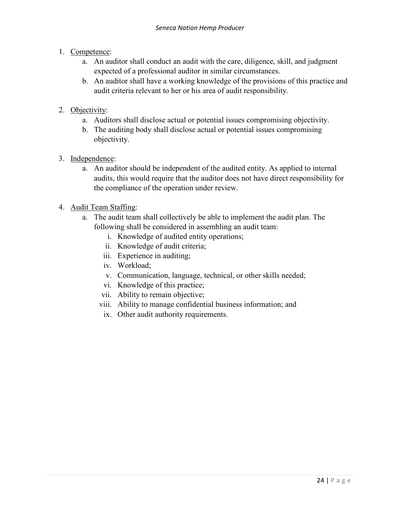- 1. Competence:
	- a. An auditor shall conduct an audit with the care, diligence, skill, and judgment expected of a professional auditor in similar circumstances.
	- b. An auditor shall have a working knowledge of the provisions of this practice and audit criteria relevant to her or his area of audit responsibility.
- 2. Objectivity:
	- a. Auditors shall disclose actual or potential issues compromising objectivity.
	- b. The auditing body shall disclose actual or potential issues compromising objectivity.
- 3. Independence:
	- a. An auditor should be independent of the audited entity. As applied to internal audits, this would require that the auditor does not have direct responsibility for the compliance of the operation under review.
- 4. Audit Team Staffing:
	- a. The audit team shall collectively be able to implement the audit plan. The following shall be considered in assembling an audit team:
		- i. Knowledge of audited entity operations;
		- ii. Knowledge of audit criteria;
		- iii. Experience in auditing;
		- iv. Workload;
		- v. Communication, language, technical, or other skills needed;
		- vi. Knowledge of this practice;
		- vii. Ability to remain objective;
		- viii. Ability to manage confidential business information; and
		- ix. Other audit authority requirements.